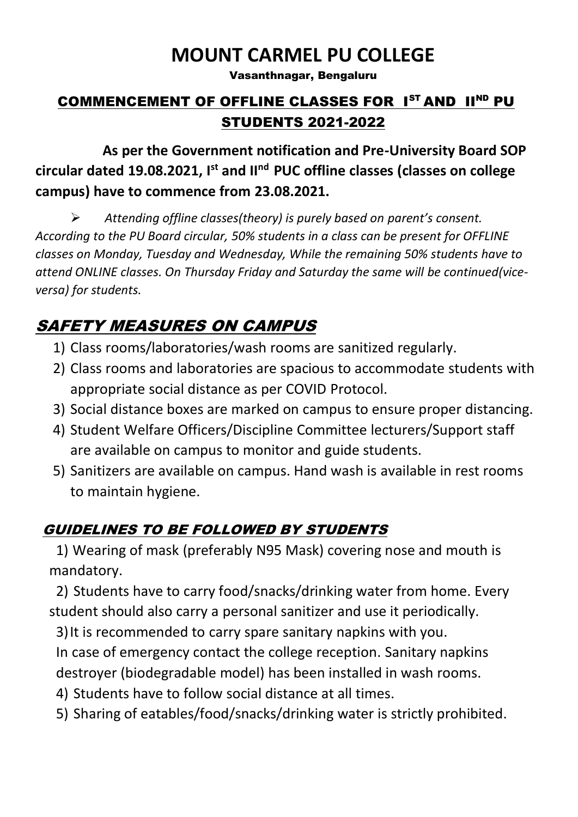# **MOUNT CARMEL PU COLLEGE**

Vasanthnagar, Bengaluru

### COMMENCEMENT OF OFFLINE CLASSES FOR 1<sup>ST</sup> AND 11<sup>ND</sup> PU STUDENTS 2021-2022

 **As per the Government notification and Pre-University Board SOP circular dated 19.08.2021, I st and IInd PUC offline classes (classes on college campus) have to commence from 23.08.2021.**

➢ *Attending offline classes(theory) is purely based on parent's consent. According to the PU Board circular, 50% students in a class can be present for OFFLINE classes on Monday, Tuesday and Wednesday, While the remaining 50% students have to attend ONLINE classes. On Thursday Friday and Saturday the same will be continued(viceversa) for students.*

## SAFETY MEASURES ON CAMPUS

- 1) Class rooms/laboratories/wash rooms are sanitized regularly.
- 2) Class rooms and laboratories are spacious to accommodate students with appropriate social distance as per COVID Protocol.
- 3) Social distance boxes are marked on campus to ensure proper distancing.
- 4) Student Welfare Officers/Discipline Committee lecturers/Support staff are available on campus to monitor and guide students.
- 5) Sanitizers are available on campus. Hand wash is available in rest rooms to maintain hygiene.

### GUIDELINES TO BE FOLLOWED BY STUDENTS

1) Wearing of mask (preferably N95 Mask) covering nose and mouth is mandatory.

2) Students have to carry food/snacks/drinking water from home. Every student should also carry a personal sanitizer and use it periodically.

3)It is recommended to carry spare sanitary napkins with you. In case of emergency contact the college reception. Sanitary napkins

destroyer (biodegradable model) has been installed in wash rooms.

4) Students have to follow social distance at all times.

5) Sharing of eatables/food/snacks/drinking water is strictly prohibited.